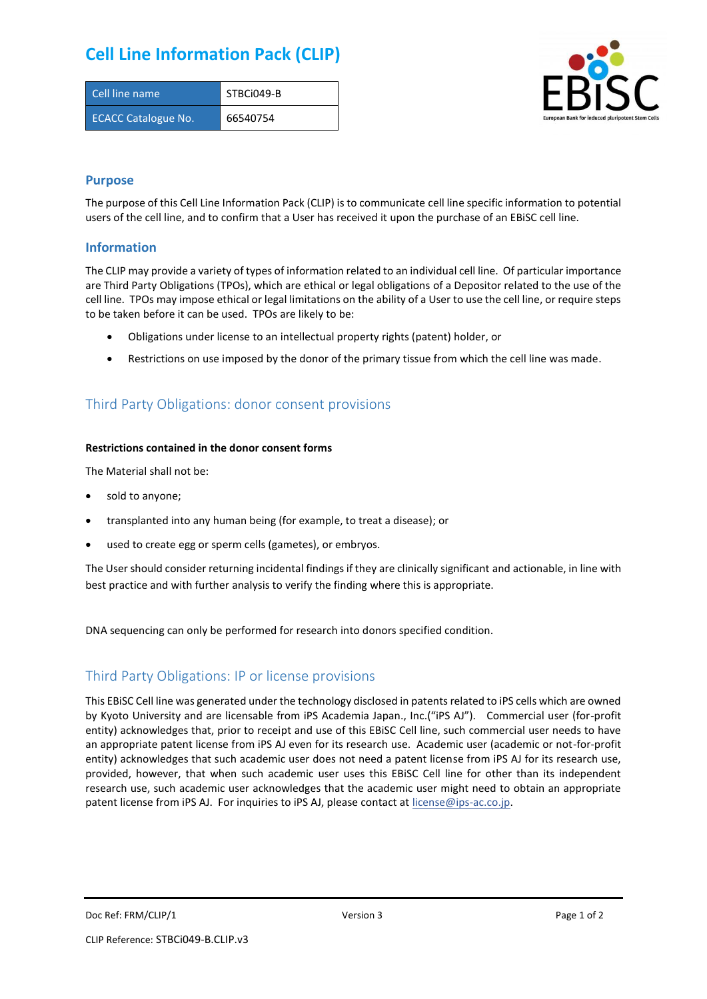## **Cell Line Information Pack (CLIP)**

| Cell line name             | STBCi049-B |
|----------------------------|------------|
| <b>ECACC Catalogue No.</b> | 66540754   |



### **Purpose**

The purpose of this Cell Line Information Pack (CLIP) is to communicate cell line specific information to potential users of the cell line, and to confirm that a User has received it upon the purchase of an EBiSC cell line.

### **Information**

The CLIP may provide a variety of types of information related to an individual cell line. Of particular importance are Third Party Obligations (TPOs), which are ethical or legal obligations of a Depositor related to the use of the cell line. TPOs may impose ethical or legal limitations on the ability of a User to use the cell line, or require steps to be taken before it can be used. TPOs are likely to be:

- Obligations under license to an intellectual property rights (patent) holder, or
- Restrictions on use imposed by the donor of the primary tissue from which the cell line was made.

## Third Party Obligations: donor consent provisions

#### **Restrictions contained in the donor consent forms**

The Material shall not be:

- sold to anyone;
- transplanted into any human being (for example, to treat a disease); or
- used to create egg or sperm cells (gametes), or embryos.

The User should consider returning incidental findings if they are clinically significant and actionable, in line with best practice and with further analysis to verify the finding where this is appropriate.

DNA sequencing can only be performed for research into donors specified condition.

## Third Party Obligations: IP or license provisions

This EBiSC Cell line was generated under the technology disclosed in patents related to iPS cells which are owned by Kyoto University and are licensable from iPS Academia Japan., Inc.("iPS AJ"). Commercial user (for-profit entity) acknowledges that, prior to receipt and use of this EBiSC Cell line, such commercial user needs to have an appropriate patent license from iPS AJ even for its research use. Academic user (academic or not-for-profit entity) acknowledges that such academic user does not need a patent license from iPS AJ for its research use, provided, however, that when such academic user uses this EBiSC Cell line for other than its independent research use, such academic user acknowledges that the academic user might need to obtain an appropriate patent license from iPS AJ. For inquiries to iPS AJ, please contact at [license@ips-ac.co.jp.](mailto:license@ips-ac.co.jp)

Doc Ref: FRM/CLIP/1 **Doces 2** Page 1 of 2 Page 1 of 2